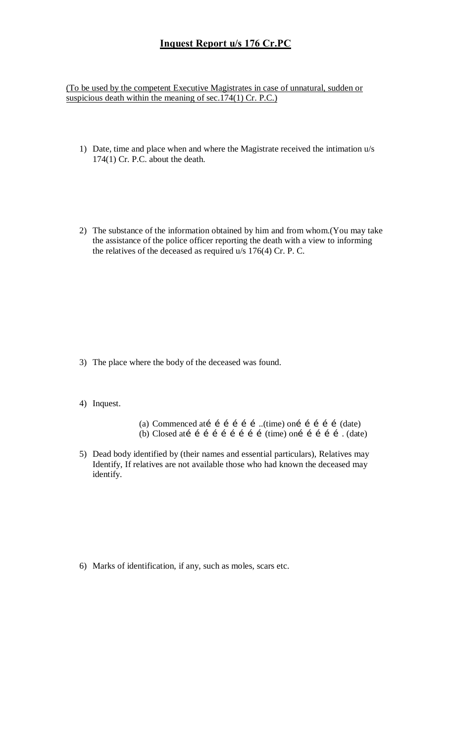## **Inquest Report u/s 176 Cr.PC**

(To be used by the competent Executive Magistrates in case of unnatural, sudden or suspicious death within the meaning of sec.174(1) Cr. P.C.)

- 1) Date, time and place when and where the Magistrate received the intimation u/s 174(1) Cr. P.C. about the death.
- 2) The substance of the information obtained by him and from whom.(You may take the assistance of the police officer reporting the death with a view to informing the relatives of the deceased as required u/s 176(4) Cr. P. C.

- 3) The place where the body of the deceased was found.
- 4) Inquest.
- (a) Commenced atí í í í í í …(time) oní í í í í (date) (b) Closed atí í í í í í í í í í (time) oní í í í í  $(date)$
- 5) Dead body identified by (their names and essential particulars), Relatives may Identify, If relatives are not available those who had known the deceased may identify.

6) Marks of identification, if any, such as moles, scars etc.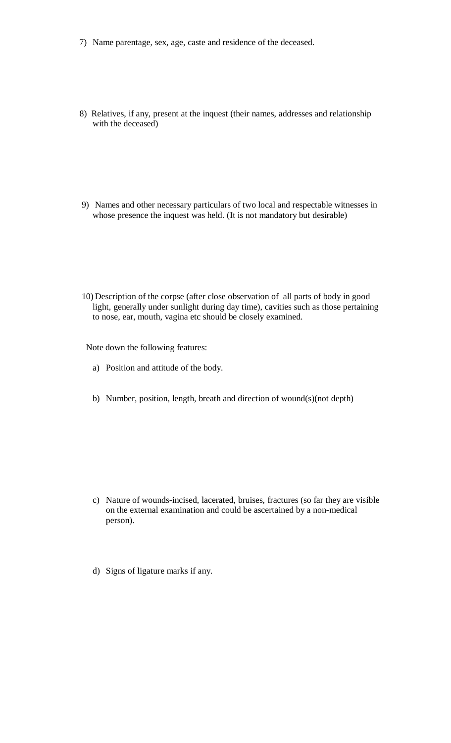- 7) Name parentage, sex, age, caste and residence of the deceased.
- 8) Relatives, if any, present at the inquest (their names, addresses and relationship with the deceased)
- 9) Names and other necessary particulars of two local and respectable witnesses in whose presence the inquest was held. (It is not mandatory but desirable)
- 10) Description of the corpse (after close observation of all parts of body in good light, generally under sunlight during day time), cavities such as those pertaining to nose, ear, mouth, vagina etc should be closely examined.

Note down the following features:

- a) Position and attitude of the body.
- b) Number, position, length, breath and direction of wound(s)(not depth)

- c) Nature of wounds-incised, lacerated, bruises, fractures (so far they are visible on the external examination and could be ascertained by a non-medical person).
- d) Signs of ligature marks if any.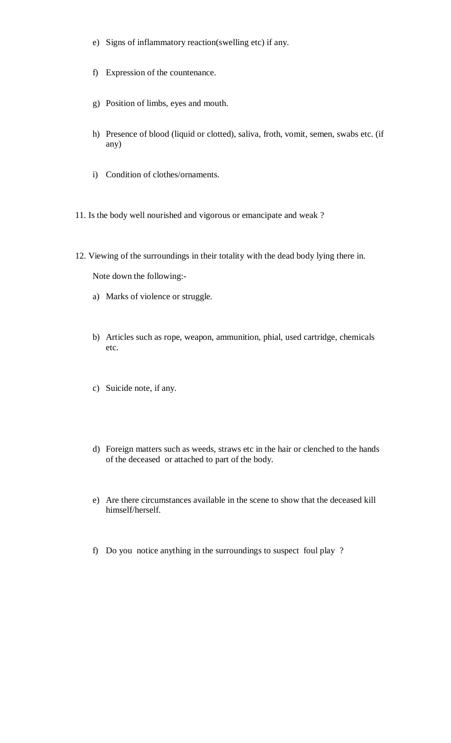- e) Signs of inflammatory reaction(swelling etc) if any.
- f) Expression of the countenance.
- g) Position of limbs, eyes and mouth.
- h) Presence of blood (liquid or clotted), saliva, froth, vomit, semen, swabs etc. (if any)
- i) Condition of clothes/ornaments.
- 11. Is the body well nourished and vigorous or emancipate and weak ?
- 12. Viewing of the surroundings in their totality with the dead body lying there in.

Note down the following:-

- a) Marks of violence or struggle.
- b) Articles such as rope, weapon, ammunition, phial, used cartridge, chemicals etc.
- c) Suicide note, if any.
- d) Foreign matters such as weeds, straws etc in the hair or clenched to the hands of the deceased or attached to part of the body.
- e) Are there circumstances available in the scene to show that the deceased kill himself/herself.
- f) Do you notice anything in the surroundings to suspect foul play ?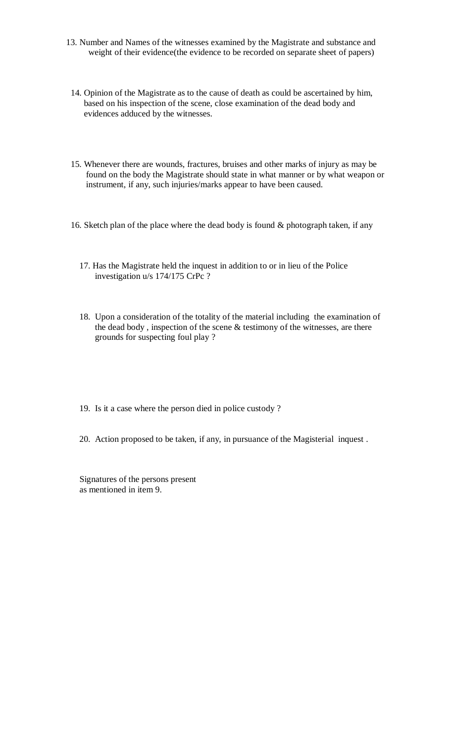- 13. Number and Names of the witnesses examined by the Magistrate and substance and weight of their evidence(the evidence to be recorded on separate sheet of papers)
- 14. Opinion of the Magistrate as to the cause of death as could be ascertained by him, based on his inspection of the scene, close examination of the dead body and evidences adduced by the witnesses.
- 15. Whenever there are wounds, fractures, bruises and other marks of injury as may be found on the body the Magistrate should state in what manner or by what weapon or instrument, if any, such injuries/marks appear to have been caused.
- 16. Sketch plan of the place where the dead body is found & photograph taken, if any
	- 17. Has the Magistrate held the inquest in addition to or in lieu of the Police investigation u/s 174/175 CrPc ?
	- 18. Upon a consideration of the totality of the material including the examination of the dead body , inspection of the scene & testimony of the witnesses, are there grounds for suspecting foul play ?
	- 19. Is it a case where the person died in police custody ?
	- 20. Action proposed to be taken, if any, in pursuance of the Magisterial inquest .

 Signatures of the persons present as mentioned in item 9.